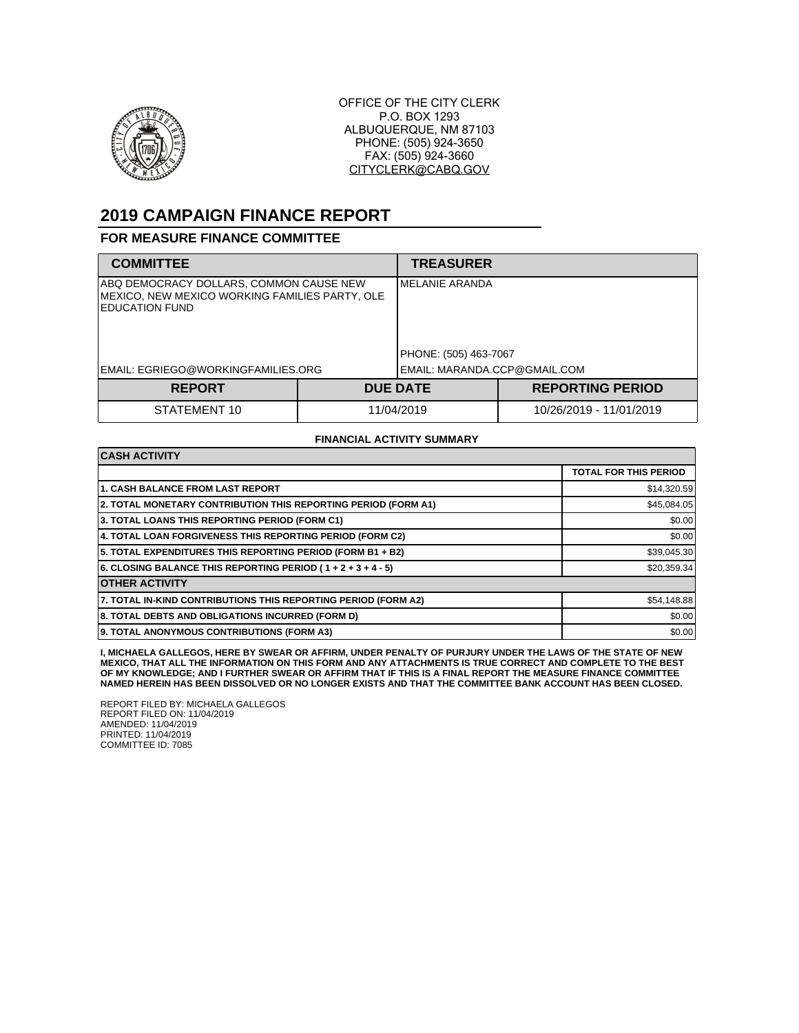

OFFICE OF THE CITY CLERK P.O. BOX 1293 ALBUQUERQUE, NM 87103 PHONE: (505) 924-3650 FAX: (505) 924-3660 CITYCLERK@CABQ.GOV

# **2019 CAMPAIGN FINANCE REPORT**

#### **FOR MEASURE FINANCE COMMITTEE**

| <b>COMMITTEE</b>                                                                                                   |  | <b>TREASURER</b>                         |                         |
|--------------------------------------------------------------------------------------------------------------------|--|------------------------------------------|-------------------------|
| ABQ DEMOCRACY DOLLARS, COMMON CAUSE NEW<br>MEXICO, NEW MEXICO WORKING FAMILIES PARTY, OLE<br><b>EDUCATION FUND</b> |  | IMELANIE ARANDA<br>PHONE: (505) 463-7067 |                         |
| EMAIL: EGRIEGO@WORKINGFAMILIES.ORG                                                                                 |  | EMAIL: MARANDA.CCP@GMAIL.COM             |                         |
| <b>REPORT</b>                                                                                                      |  | <b>DUE DATE</b>                          | <b>REPORTING PERIOD</b> |
| STATEMENT 10                                                                                                       |  | 11/04/2019                               | 10/26/2019 - 11/01/2019 |

#### **FINANCIAL ACTIVITY SUMMARY**

| <b>CASH ACTIVITY</b>                                           |                              |  |  |
|----------------------------------------------------------------|------------------------------|--|--|
|                                                                | <b>TOTAL FOR THIS PERIOD</b> |  |  |
| <b>1. CASH BALANCE FROM LAST REPORT</b>                        | \$14,320.59                  |  |  |
| 2. TOTAL MONETARY CONTRIBUTION THIS REPORTING PERIOD (FORM A1) | \$45,084.05                  |  |  |
| 3. TOTAL LOANS THIS REPORTING PERIOD (FORM C1)                 | \$0.00                       |  |  |
| 4. TOTAL LOAN FORGIVENESS THIS REPORTING PERIOD (FORM C2)      | \$0.00                       |  |  |
| 5. TOTAL EXPENDITURES THIS REPORTING PERIOD (FORM B1 + B2)     | \$39,045.30                  |  |  |
| 6. CLOSING BALANCE THIS REPORTING PERIOD (1+2+3+4-5)           | \$20,359.34                  |  |  |
| <b>OTHER ACTIVITY</b>                                          |                              |  |  |
| 7. TOTAL IN-KIND CONTRIBUTIONS THIS REPORTING PERIOD (FORM A2) | \$54,148.88                  |  |  |
| 8. TOTAL DEBTS AND OBLIGATIONS INCURRED (FORM D)               | \$0.00                       |  |  |
| 9. TOTAL ANONYMOUS CONTRIBUTIONS (FORM A3)                     | \$0.00                       |  |  |

I, MICHAELA GALLEGOS, HERE BY SWEAR OR AFFIRM, UNDER PENALTY OF PURJURY UNDER THE LAWS OF THE STATE OF NEW<br>MEXICO, THAT ALL THE INFORMATION ON THIS FORM AND ANY ATTACHMENTS IS TRUE CORRECT AND COMPLETE TO THE BEST<br>OF MY KN

REPORT FILED BY: MICHAELA GALLEGOS REPORT FILED ON: 11/04/2019 AMENDED: 11/04/2019 PRINTED: 11/04/2019 COMMITTEE ID: 7085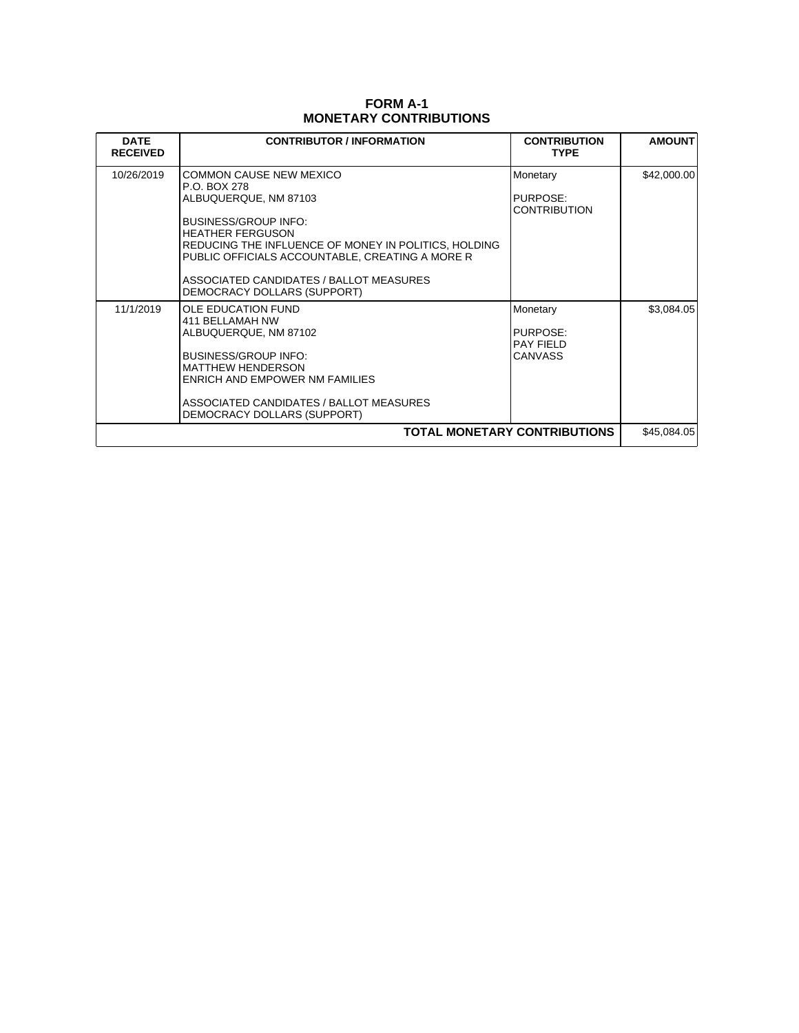### **FORM A-1 MONETARY CONTRIBUTIONS**

| <b>DATE</b><br><b>RECEIVED</b> | <b>CONTRIBUTOR / INFORMATION</b>                                                                                                                                                                                                                                                                                       | <b>CONTRIBUTION</b><br><b>TYPE</b>                         | <b>AMOUNT</b> |
|--------------------------------|------------------------------------------------------------------------------------------------------------------------------------------------------------------------------------------------------------------------------------------------------------------------------------------------------------------------|------------------------------------------------------------|---------------|
| 10/26/2019                     | <b>COMMON CAUSE NEW MEXICO</b><br>P.O. BOX 278<br>ALBUQUERQUE, NM 87103<br><b>BUSINESS/GROUP INFO:</b><br><b>HEATHER FERGUSON</b><br>REDUCING THE INFLUENCE OF MONEY IN POLITICS, HOLDING<br>PUBLIC OFFICIALS ACCOUNTABLE, CREATING A MORE R<br>ASSOCIATED CANDIDATES / BALLOT MEASURES<br>DEMOCRACY DOLLARS (SUPPORT) | Monetary<br>PURPOSE:<br><b>CONTRIBUTION</b>                | \$42,000.00   |
| 11/1/2019                      | <b>OLE EDUCATION FUND</b><br>411 BELLAMAH NW<br>ALBUQUERQUE, NM 87102<br><b>BUSINESS/GROUP INFO:</b><br><b>MATTHEW HENDERSON</b><br>ENRICH AND EMPOWER NM FAMILIES<br>ASSOCIATED CANDIDATES / BALLOT MEASURES<br>DEMOCRACY DOLLARS (SUPPORT)                                                                           | Monetary<br>PURPOSE:<br><b>PAY FIELD</b><br><b>CANVASS</b> | \$3,084.05    |
| TOTAL MONETARY CONTRIBUTIONS   |                                                                                                                                                                                                                                                                                                                        |                                                            |               |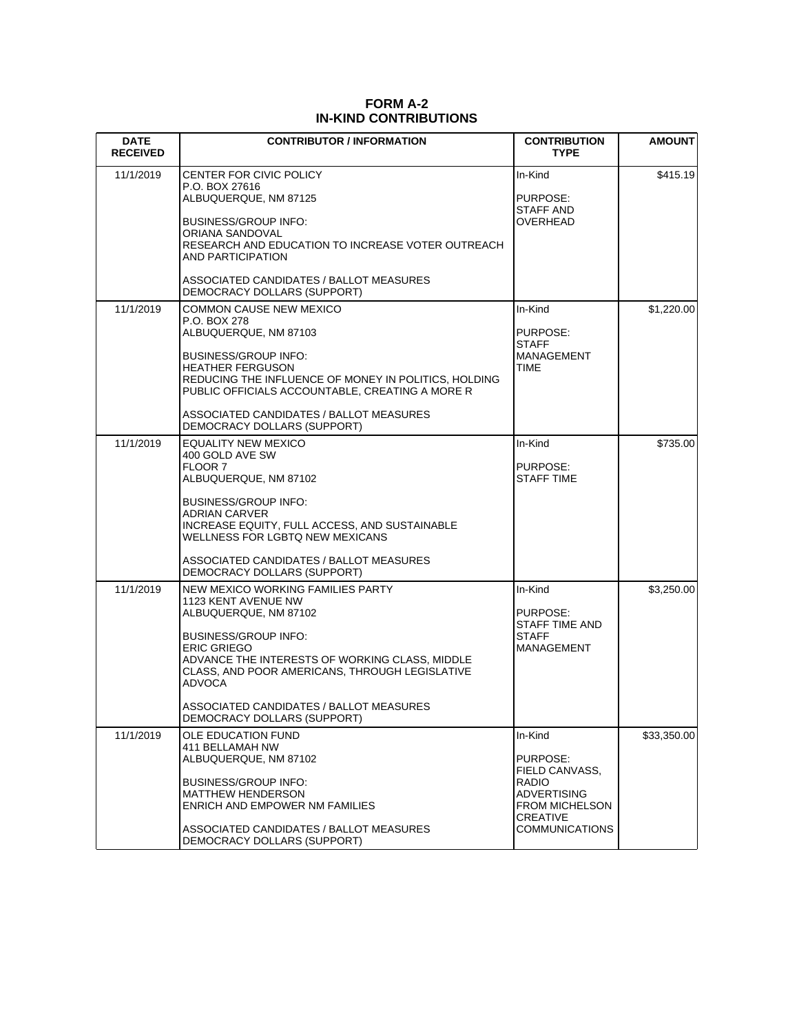| <b>DATE</b><br><b>RECEIVED</b> | <b>CONTRIBUTOR / INFORMATION</b>                                                                                                                                                                                                                                                                                                               | <b>CONTRIBUTION</b><br><b>TYPE</b>                                                                                                 | <b>AMOUNT</b> |
|--------------------------------|------------------------------------------------------------------------------------------------------------------------------------------------------------------------------------------------------------------------------------------------------------------------------------------------------------------------------------------------|------------------------------------------------------------------------------------------------------------------------------------|---------------|
| 11/1/2019                      | CENTER FOR CIVIC POLICY<br>P.O. BOX 27616<br>ALBUQUERQUE, NM 87125<br><b>BUSINESS/GROUP INFO:</b><br>ORIANA SANDOVAL<br>RESEARCH AND EDUCATION TO INCREASE VOTER OUTREACH<br>AND PARTICIPATION<br>ASSOCIATED CANDIDATES / BALLOT MEASURES                                                                                                      | In-Kind<br>PURPOSE:<br>STAFF AND<br><b>OVERHEAD</b>                                                                                | \$415.19      |
| 11/1/2019                      | DEMOCRACY DOLLARS (SUPPORT)<br>COMMON CAUSE NEW MEXICO<br>P.O. BOX 278<br>ALBUQUERQUE, NM 87103<br><b>BUSINESS/GROUP INFO:</b><br><b>HEATHER FERGUSON</b><br>REDUCING THE INFLUENCE OF MONEY IN POLITICS, HOLDING<br>PUBLIC OFFICIALS ACCOUNTABLE, CREATING A MORE R<br>ASSOCIATED CANDIDATES / BALLOT MEASURES<br>DEMOCRACY DOLLARS (SUPPORT) | In-Kind<br>PURPOSE:<br><b>STAFF</b><br>MANAGEMENT<br>TIME                                                                          | \$1,220.00    |
| 11/1/2019                      | <b>EQUALITY NEW MEXICO</b><br>400 GOLD AVE SW<br>FLOOR 7<br>ALBUQUERQUE, NM 87102<br><b>BUSINESS/GROUP INFO:</b><br>ADRIAN CARVER<br>INCREASE EQUITY, FULL ACCESS, AND SUSTAINABLE<br>WELLNESS FOR LGBTQ NEW MEXICANS<br>ASSOCIATED CANDIDATES / BALLOT MEASURES<br>DEMOCRACY DOLLARS (SUPPORT)                                                | In-Kind<br>PURPOSE:<br>STAFF TIME                                                                                                  | \$735.00      |
| 11/1/2019                      | NEW MEXICO WORKING FAMILIES PARTY<br>1123 KENT AVENUE NW<br>ALBUQUERQUE, NM 87102<br><b>BUSINESS/GROUP INFO:</b><br><b>ERIC GRIEGO</b><br>ADVANCE THE INTERESTS OF WORKING CLASS, MIDDLE<br>CLASS, AND POOR AMERICANS, THROUGH LEGISLATIVE<br><b>ADVOCA</b><br>ASSOCIATED CANDIDATES / BALLOT MEASURES<br>DEMOCRACY DOLLARS (SUPPORT)          | In-Kind<br>PURPOSE:<br>STAFF TIME AND<br><b>STAFF</b><br><b>MANAGEMENT</b>                                                         | \$3,250.00    |
| 11/1/2019                      | OLE EDUCATION FUND<br>411 BELLAMAH NW<br>ALBUQUERQUE, NM 87102<br><b>BUSINESS/GROUP INFO:</b><br><b>MATTHEW HENDERSON</b><br>ENRICH AND EMPOWER NM FAMILIES<br>ASSOCIATED CANDIDATES / BALLOT MEASURES<br>DEMOCRACY DOLLARS (SUPPORT)                                                                                                          | In-Kind<br>PURPOSE:<br>FIELD CANVASS.<br><b>RADIO</b><br>ADVERTISING<br><b>FROM MICHELSON</b><br>CREATIVE<br><b>COMMUNICATIONS</b> | \$33,350.00   |

 $\overline{\phantom{a}}$ 

## **FORM A-2 IN-KIND CONTRIBUTIONS**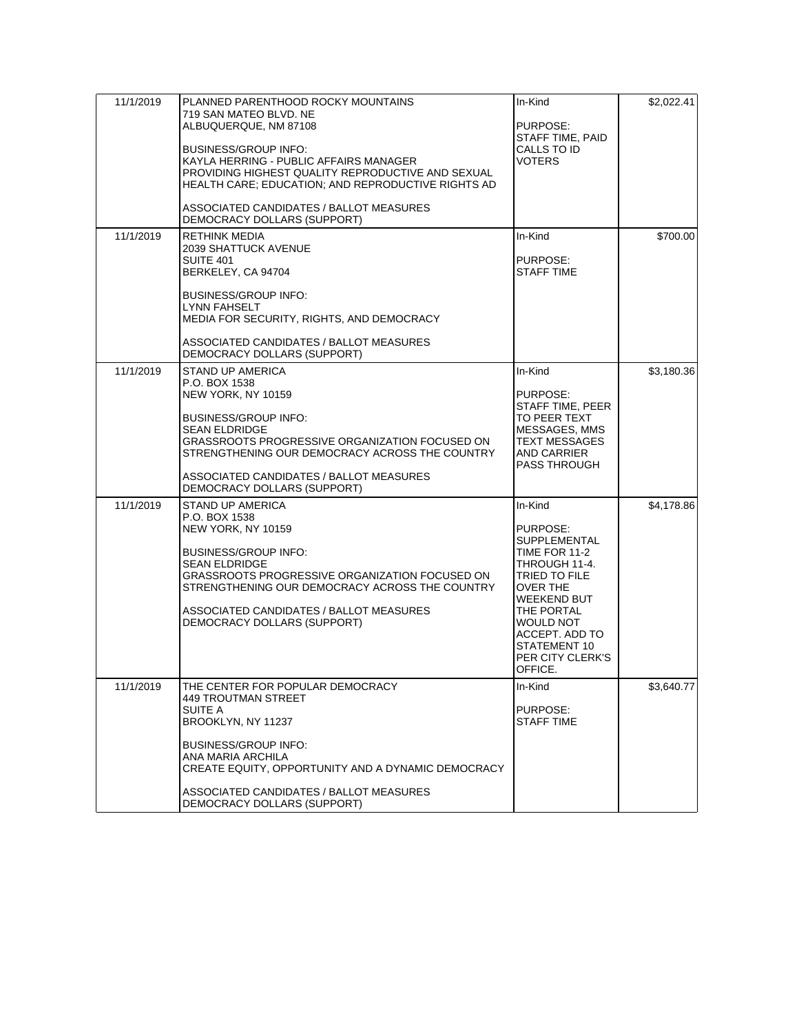| 11/1/2019 | PLANNED PARENTHOOD ROCKY MOUNTAINS<br>719 SAN MATEO BLVD. NE<br>ALBUQUERQUE, NM 87108<br><b>BUSINESS/GROUP INFO:</b><br>KAYLA HERRING - PUBLIC AFFAIRS MANAGER<br>PROVIDING HIGHEST QUALITY REPRODUCTIVE AND SEXUAL<br>HEALTH CARE; EDUCATION; AND REPRODUCTIVE RIGHTS AD<br>ASSOCIATED CANDIDATES / BALLOT MEASURES<br>DEMOCRACY DOLLARS (SUPPORT) | In-Kind<br>PURPOSE:<br>STAFF TIME, PAID<br>CALLS TO ID<br><b>VOTERS</b>                                                                                                                                              | \$2,022.41 |
|-----------|-----------------------------------------------------------------------------------------------------------------------------------------------------------------------------------------------------------------------------------------------------------------------------------------------------------------------------------------------------|----------------------------------------------------------------------------------------------------------------------------------------------------------------------------------------------------------------------|------------|
| 11/1/2019 | <b>RETHINK MEDIA</b><br><b>2039 SHATTUCK AVENUE</b><br>SUITE 401<br>BERKELEY, CA 94704<br><b>BUSINESS/GROUP INFO:</b><br><b>LYNN FAHSELT</b><br>MEDIA FOR SECURITY, RIGHTS, AND DEMOCRACY<br>ASSOCIATED CANDIDATES / BALLOT MEASURES<br>DEMOCRACY DOLLARS (SUPPORT)                                                                                 | In-Kind<br>PURPOSE:<br><b>STAFF TIME</b>                                                                                                                                                                             | \$700.00   |
| 11/1/2019 | <b>STAND UP AMERICA</b><br>P.O. BOX 1538<br>NEW YORK, NY 10159<br><b>BUSINESS/GROUP INFO:</b><br><b>SEAN ELDRIDGE</b><br>GRASSROOTS PROGRESSIVE ORGANIZATION FOCUSED ON<br>STRENGTHENING OUR DEMOCRACY ACROSS THE COUNTRY<br>ASSOCIATED CANDIDATES / BALLOT MEASURES<br>DEMOCRACY DOLLARS (SUPPORT)                                                 | In-Kind<br>PURPOSE:<br>STAFF TIME, PEER<br>TO PEER TEXT<br>MESSAGES, MMS<br><b>TEXT MESSAGES</b><br>AND CARRIER<br><b>PASS THROUGH</b>                                                                               | \$3,180.36 |
| 11/1/2019 | STAND UP AMERICA<br>P.O. BOX 1538<br>NEW YORK, NY 10159<br><b>BUSINESS/GROUP INFO:</b><br><b>SEAN ELDRIDGE</b><br>GRASSROOTS PROGRESSIVE ORGANIZATION FOCUSED ON<br>STRENGTHENING OUR DEMOCRACY ACROSS THE COUNTRY<br>ASSOCIATED CANDIDATES / BALLOT MEASURES<br>DEMOCRACY DOLLARS (SUPPORT)                                                        | In-Kind<br>PURPOSE:<br>SUPPLEMENTAL<br>TIME FOR 11-2<br>THROUGH 11-4.<br>TRIED TO FILE<br>OVER THE<br><b>WEEKEND BUT</b><br>THE PORTAL<br>WOULD NOT<br>ACCEPT. ADD TO<br>STATEMENT 10<br>PER CITY CLERK'S<br>OFFICE. | \$4,178.86 |
| 11/1/2019 | THE CENTER FOR POPULAR DEMOCRACY<br><b>449 TROUTMAN STREET</b><br>SUITE A<br>BROOKLYN, NY 11237<br><b>BUSINESS/GROUP INFO:</b><br>ANA MARIA ARCHILA<br>CREATE EQUITY, OPPORTUNITY AND A DYNAMIC DEMOCRACY<br>ASSOCIATED CANDIDATES / BALLOT MEASURES<br>DEMOCRACY DOLLARS (SUPPORT)                                                                 | In-Kind<br>PURPOSE:<br>STAFF TIME                                                                                                                                                                                    | \$3,640.77 |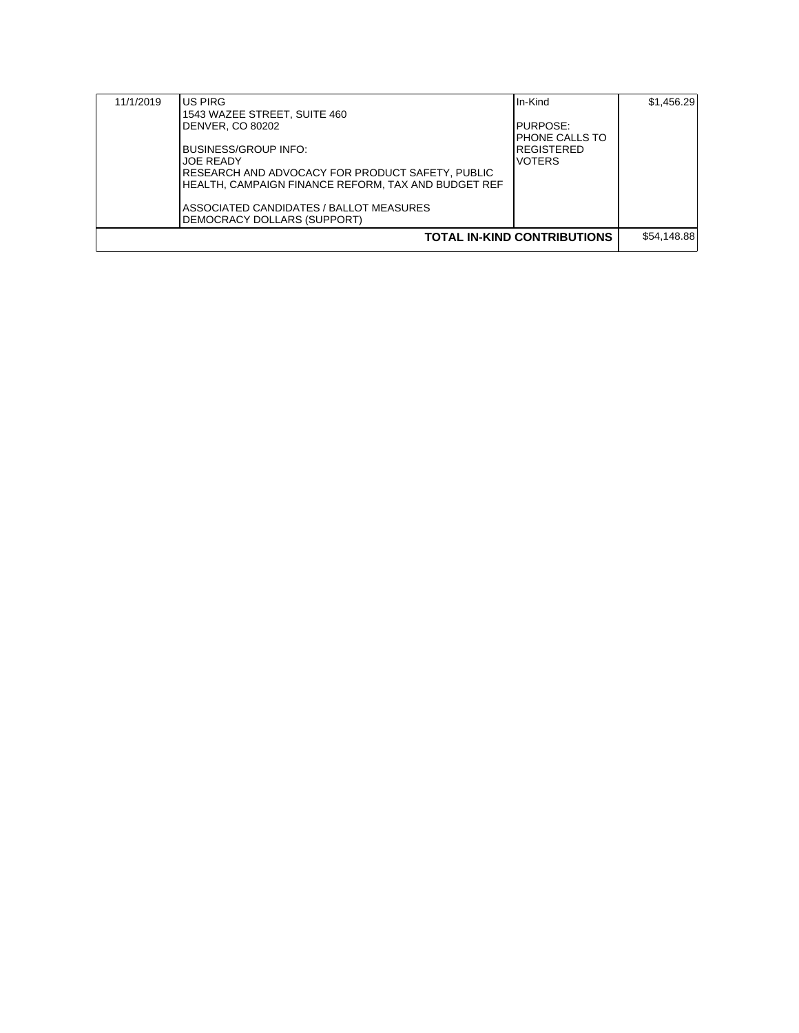| 11/1/2019                          | IUS PIRG<br>1543 WAZEE STREET, SUITE 460<br>DENVER, CO 80202<br>BUSINESS/GROUP INFO:<br><b>JOE READY</b><br>RESEARCH AND ADVOCACY FOR PRODUCT SAFETY, PUBLIC<br>HEALTH. CAMPAIGN FINANCE REFORM. TAX AND BUDGET REF<br>ASSOCIATED CANDIDATES / BALLOT MEASURES<br>DEMOCRACY DOLLARS (SUPPORT) | In-Kind<br>PURPOSE:<br><b>PHONE CALLS TO</b><br><b>REGISTERED</b><br><b>VOTERS</b> | \$1,456.29  |
|------------------------------------|-----------------------------------------------------------------------------------------------------------------------------------------------------------------------------------------------------------------------------------------------------------------------------------------------|------------------------------------------------------------------------------------|-------------|
| <b>TOTAL IN-KIND CONTRIBUTIONS</b> |                                                                                                                                                                                                                                                                                               |                                                                                    | \$54.148.88 |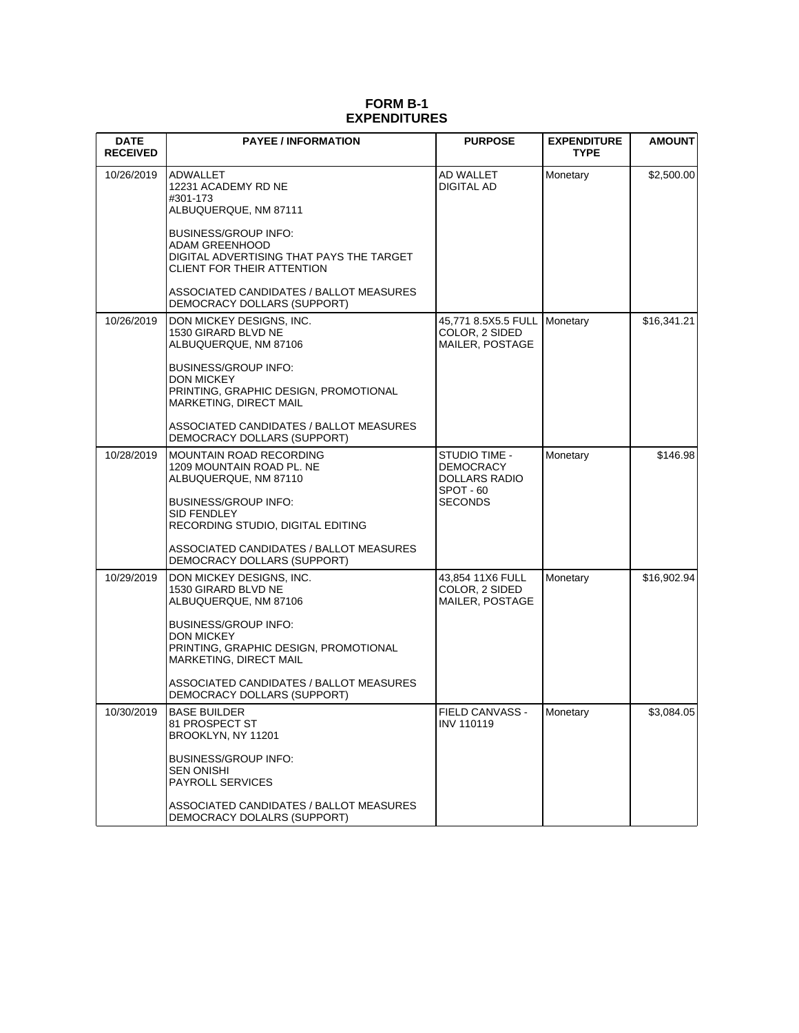#### **FORM B-1 EXPENDITURES**

| <b>DATE</b><br><b>RECEIVED</b> | <b>PAYEE / INFORMATION</b>                                                                                                                                                                                                                                                | <b>PURPOSE</b>                                                             | <b>EXPENDITURE</b><br><b>TYPE</b> | <b>AMOUNT</b> |
|--------------------------------|---------------------------------------------------------------------------------------------------------------------------------------------------------------------------------------------------------------------------------------------------------------------------|----------------------------------------------------------------------------|-----------------------------------|---------------|
| 10/26/2019                     | ADWALLET<br>12231 ACADEMY RD NE<br>#301-173<br>ALBUQUERQUE, NM 87111<br><b>BUSINESS/GROUP INFO:</b><br>ADAM GREENHOOD<br>DIGITAL ADVERTISING THAT PAYS THE TARGET<br>CLIENT FOR THEIR ATTENTION<br>ASSOCIATED CANDIDATES / BALLOT MEASURES                                | AD WALLET<br>DIGITAL AD                                                    | Monetary                          | \$2,500.00    |
| 10/26/2019                     | DEMOCRACY DOLLARS (SUPPORT)<br>DON MICKEY DESIGNS, INC.                                                                                                                                                                                                                   | 45,771 8.5X5.5 FULL                                                        | Monetary                          | \$16,341.21   |
|                                | 1530 GIRARD BLVD NE<br>ALBUQUERQUE, NM 87106<br><b>BUSINESS/GROUP INFO:</b><br><b>DON MICKEY</b><br>PRINTING, GRAPHIC DESIGN, PROMOTIONAL<br>MARKETING, DIRECT MAIL<br>ASSOCIATED CANDIDATES / BALLOT MEASURES<br>DEMOCRACY DOLLARS (SUPPORT)                             | COLOR, 2 SIDED<br>MAILER, POSTAGE                                          |                                   |               |
| 10/28/2019                     | MOUNTAIN ROAD RECORDING<br>1209 MOUNTAIN ROAD PL. NE<br>ALBUQUERQUE, NM 87110<br><b>BUSINESS/GROUP INFO:</b><br>SID FENDLEY<br>RECORDING STUDIO, DIGITAL EDITING<br>ASSOCIATED CANDIDATES / BALLOT MEASURES<br>DEMOCRACY DOLLARS (SUPPORT)                                | STUDIO TIME -<br>DEMOCRACY<br><b>DOLLARS RADIO</b><br>SPOT - 60<br>SECONDS | Monetary                          | \$146.98      |
| 10/29/2019                     | DON MICKEY DESIGNS, INC.<br>1530 GIRARD BLVD NE<br>ALBUQUERQUE, NM 87106<br><b>BUSINESS/GROUP INFO:</b><br><b>DON MICKEY</b><br>PRINTING, GRAPHIC DESIGN, PROMOTIONAL<br>MARKETING, DIRECT MAIL<br>ASSOCIATED CANDIDATES / BALLOT MEASURES<br>DEMOCRACY DOLLARS (SUPPORT) | 43,854 11X6 FULL<br>COLOR, 2 SIDED<br>MAILER, POSTAGE                      | Monetary                          | \$16,902.94   |
| 10/30/2019                     | <b>I</b> BASE BUILDER<br>81 PROSPECT ST<br>BROOKLYN, NY 11201<br><b>BUSINESS/GROUP INFO:</b><br><b>SEN ONISHI</b><br><b>PAYROLL SERVICES</b><br>ASSOCIATED CANDIDATES / BALLOT MEASURES<br>DEMOCRACY DOLALRS (SUPPORT)                                                    | FIELD CANVASS -<br>INV 110119                                              | Monetary                          | \$3,084.05    |